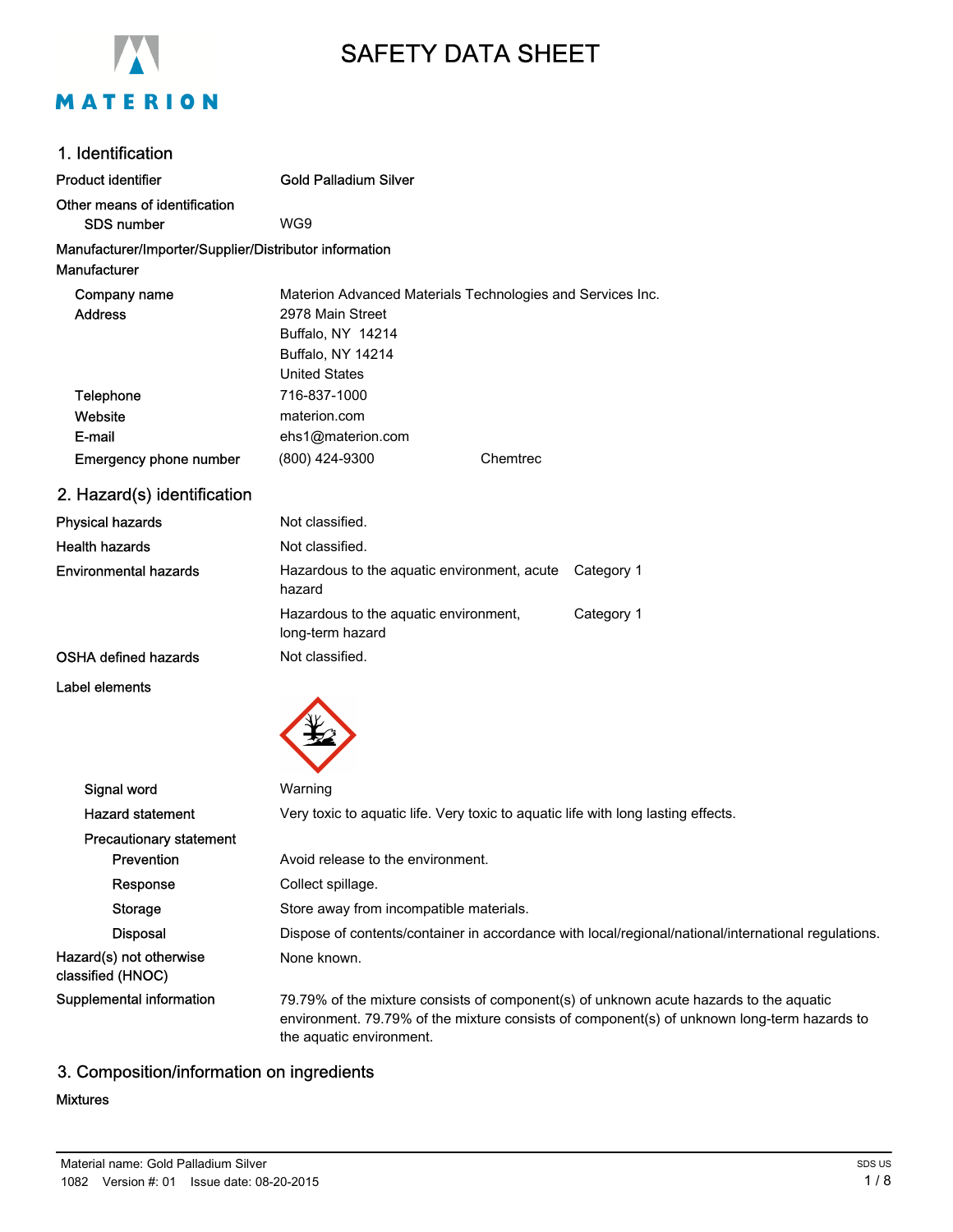

# SAFETY DATA SHEET

| 1. Identification                                                      |                                                                                                                                                                                                                   |  |  |
|------------------------------------------------------------------------|-------------------------------------------------------------------------------------------------------------------------------------------------------------------------------------------------------------------|--|--|
| <b>Product identifier</b>                                              | <b>Gold Palladium Silver</b>                                                                                                                                                                                      |  |  |
| Other means of identification                                          |                                                                                                                                                                                                                   |  |  |
| SDS number                                                             | WG9                                                                                                                                                                                                               |  |  |
| Manufacturer/Importer/Supplier/Distributor information<br>Manufacturer |                                                                                                                                                                                                                   |  |  |
| Company name<br><b>Address</b>                                         | Materion Advanced Materials Technologies and Services Inc.<br>2978 Main Street<br>Buffalo, NY 14214<br>Buffalo, NY 14214<br><b>United States</b>                                                                  |  |  |
| Telephone                                                              | 716-837-1000                                                                                                                                                                                                      |  |  |
| Website                                                                | materion.com                                                                                                                                                                                                      |  |  |
| E-mail                                                                 | ehs1@materion.com                                                                                                                                                                                                 |  |  |
| <b>Emergency phone number</b>                                          | (800) 424-9300<br>Chemtrec                                                                                                                                                                                        |  |  |
| 2. Hazard(s) identification                                            |                                                                                                                                                                                                                   |  |  |
| <b>Physical hazards</b>                                                | Not classified.                                                                                                                                                                                                   |  |  |
| <b>Health hazards</b>                                                  | Not classified.                                                                                                                                                                                                   |  |  |
| <b>Environmental hazards</b>                                           | Hazardous to the aquatic environment, acute Category 1<br>hazard                                                                                                                                                  |  |  |
|                                                                        | Hazardous to the aquatic environment,<br>Category 1<br>long-term hazard                                                                                                                                           |  |  |
| <b>OSHA defined hazards</b>                                            | Not classified.                                                                                                                                                                                                   |  |  |
| Label elements                                                         |                                                                                                                                                                                                                   |  |  |
|                                                                        |                                                                                                                                                                                                                   |  |  |
| Signal word                                                            | Warning                                                                                                                                                                                                           |  |  |
| <b>Hazard statement</b>                                                | Very toxic to aquatic life. Very toxic to aquatic life with long lasting effects.                                                                                                                                 |  |  |
| <b>Precautionary statement</b><br>Prevention                           | Avoid release to the environment.                                                                                                                                                                                 |  |  |
| Response                                                               | Collect spillage.                                                                                                                                                                                                 |  |  |
| <b>Storage</b>                                                         | Store away from incompatible materials.                                                                                                                                                                           |  |  |
| <b>Disposal</b>                                                        | Dispose of contents/container in accordance with local/regional/national/international regulations.                                                                                                               |  |  |
| Hazard(s) not otherwise<br>classified (HNOC)                           | None known.                                                                                                                                                                                                       |  |  |
| Supplemental information                                               | 79.79% of the mixture consists of component(s) of unknown acute hazards to the aquatic<br>environment. 79.79% of the mixture consists of component(s) of unknown long-term hazards to<br>the aquatic environment. |  |  |

# 3. Composition/information on ingredients

#### Mixtures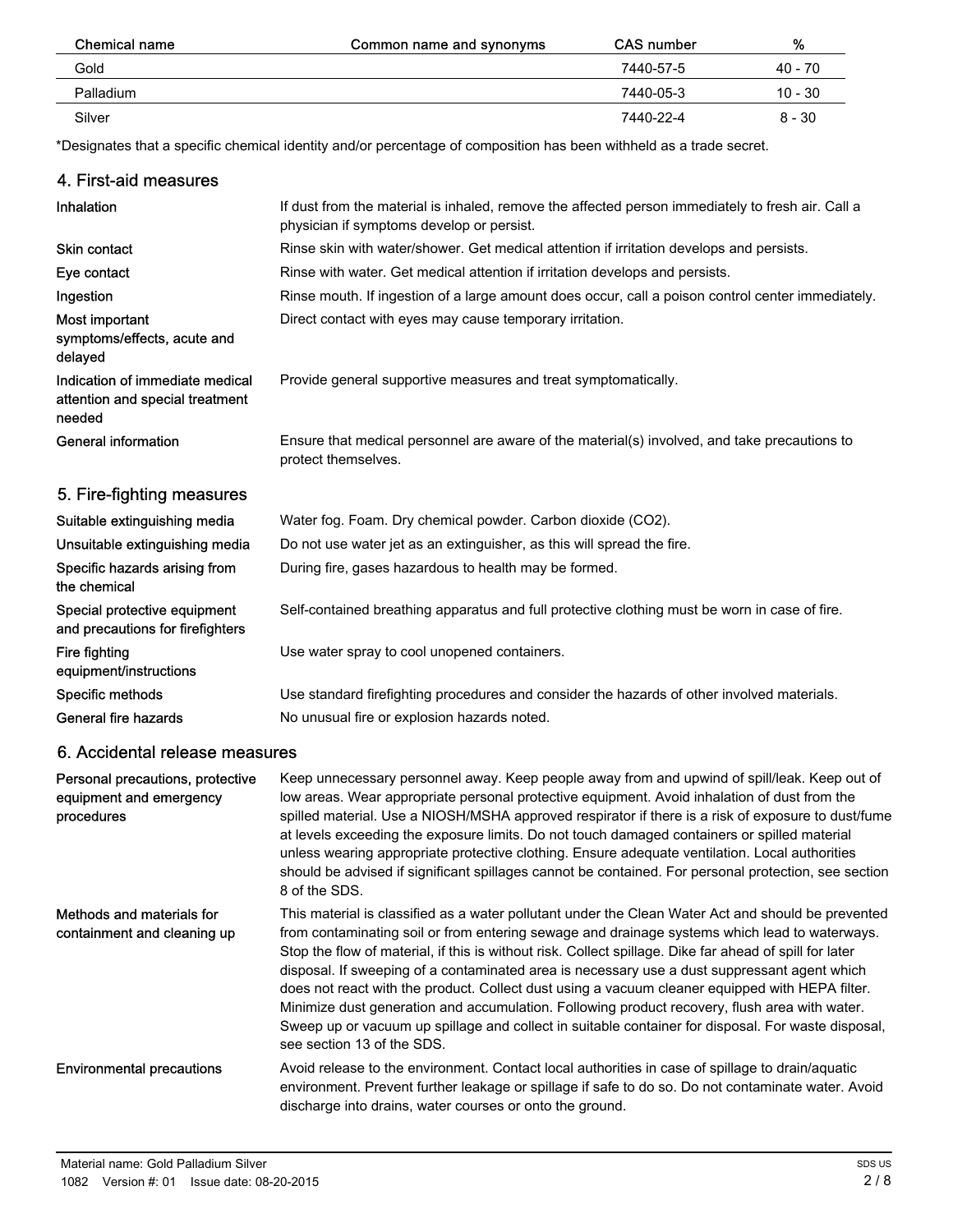| Chemical name | Common name and synonyms | <b>CAS number</b> | %         |
|---------------|--------------------------|-------------------|-----------|
| Gold          |                          | 7440-57-5         | 40 - 70   |
| Palladium     |                          | 7440-05-3         | $10 - 30$ |
| Silver        |                          | 7440-22-4         | $8 - 30$  |

\*Designates that a specific chemical identity and/or percentage of composition has been withheld as a trade secret.

| 4. First-aid measures                                                        |                                                                                                                                                                                                                                                                                                                                                                                                                                                                                                                                                                                                                                                                                                                                                        |
|------------------------------------------------------------------------------|--------------------------------------------------------------------------------------------------------------------------------------------------------------------------------------------------------------------------------------------------------------------------------------------------------------------------------------------------------------------------------------------------------------------------------------------------------------------------------------------------------------------------------------------------------------------------------------------------------------------------------------------------------------------------------------------------------------------------------------------------------|
| Inhalation                                                                   | If dust from the material is inhaled, remove the affected person immediately to fresh air. Call a<br>physician if symptoms develop or persist.                                                                                                                                                                                                                                                                                                                                                                                                                                                                                                                                                                                                         |
| Skin contact                                                                 | Rinse skin with water/shower. Get medical attention if irritation develops and persists.                                                                                                                                                                                                                                                                                                                                                                                                                                                                                                                                                                                                                                                               |
| Eye contact                                                                  | Rinse with water. Get medical attention if irritation develops and persists.                                                                                                                                                                                                                                                                                                                                                                                                                                                                                                                                                                                                                                                                           |
| Ingestion                                                                    | Rinse mouth. If ingestion of a large amount does occur, call a poison control center immediately.                                                                                                                                                                                                                                                                                                                                                                                                                                                                                                                                                                                                                                                      |
| Most important<br>symptoms/effects, acute and<br>delayed                     | Direct contact with eyes may cause temporary irritation.                                                                                                                                                                                                                                                                                                                                                                                                                                                                                                                                                                                                                                                                                               |
| Indication of immediate medical<br>attention and special treatment<br>needed | Provide general supportive measures and treat symptomatically.                                                                                                                                                                                                                                                                                                                                                                                                                                                                                                                                                                                                                                                                                         |
| <b>General information</b>                                                   | Ensure that medical personnel are aware of the material(s) involved, and take precautions to<br>protect themselves.                                                                                                                                                                                                                                                                                                                                                                                                                                                                                                                                                                                                                                    |
| 5. Fire-fighting measures                                                    |                                                                                                                                                                                                                                                                                                                                                                                                                                                                                                                                                                                                                                                                                                                                                        |
| Suitable extinguishing media                                                 | Water fog. Foam. Dry chemical powder. Carbon dioxide (CO2).                                                                                                                                                                                                                                                                                                                                                                                                                                                                                                                                                                                                                                                                                            |
| Unsuitable extinguishing media                                               | Do not use water jet as an extinguisher, as this will spread the fire.                                                                                                                                                                                                                                                                                                                                                                                                                                                                                                                                                                                                                                                                                 |
| Specific hazards arising from<br>the chemical                                | During fire, gases hazardous to health may be formed.                                                                                                                                                                                                                                                                                                                                                                                                                                                                                                                                                                                                                                                                                                  |
| Special protective equipment<br>and precautions for firefighters             | Self-contained breathing apparatus and full protective clothing must be worn in case of fire.                                                                                                                                                                                                                                                                                                                                                                                                                                                                                                                                                                                                                                                          |
| <b>Fire fighting</b><br>equipment/instructions                               | Use water spray to cool unopened containers.                                                                                                                                                                                                                                                                                                                                                                                                                                                                                                                                                                                                                                                                                                           |
| Specific methods                                                             | Use standard firefighting procedures and consider the hazards of other involved materials.                                                                                                                                                                                                                                                                                                                                                                                                                                                                                                                                                                                                                                                             |
| General fire hazards                                                         | No unusual fire or explosion hazards noted.                                                                                                                                                                                                                                                                                                                                                                                                                                                                                                                                                                                                                                                                                                            |
| 6. Accidental release measures                                               |                                                                                                                                                                                                                                                                                                                                                                                                                                                                                                                                                                                                                                                                                                                                                        |
| Personal precautions, protective<br>equipment and emergency<br>procedures    | Keep unnecessary personnel away. Keep people away from and upwind of spill/leak. Keep out of<br>low areas. Wear appropriate personal protective equipment. Avoid inhalation of dust from the<br>spilled material. Use a NIOSH/MSHA approved respirator if there is a risk of exposure to dust/fume<br>at levels exceeding the exposure limits. Do not touch damaged containers or spilled material<br>unless wearing appropriate protective clothing. Ensure adequate ventilation. Local authorities<br>should be advised if significant spillages cannot be contained. For personal protection, see section<br>8 of the SDS.                                                                                                                          |
| Methods and materials for<br>containment and cleaning up                     | This material is classified as a water pollutant under the Clean Water Act and should be prevented<br>from contaminating soil or from entering sewage and drainage systems which lead to waterways.<br>Stop the flow of material, if this is without risk. Collect spillage. Dike far ahead of spill for later<br>disposal. If sweeping of a contaminated area is necessary use a dust suppressant agent which<br>does not react with the product. Collect dust using a vacuum cleaner equipped with HEPA filter.<br>Minimize dust generation and accumulation. Following product recovery, flush area with water.<br>Sweep up or vacuum up spillage and collect in suitable container for disposal. For waste disposal,<br>see section 13 of the SDS. |
| <b>Environmental precautions</b>                                             | Avoid release to the environment. Contact local authorities in case of spillage to drain/aquatic<br>environment. Prevent further leakage or spillage if safe to do so. Do not contaminate water. Avoid<br>discharge into drains, water courses or onto the ground.                                                                                                                                                                                                                                                                                                                                                                                                                                                                                     |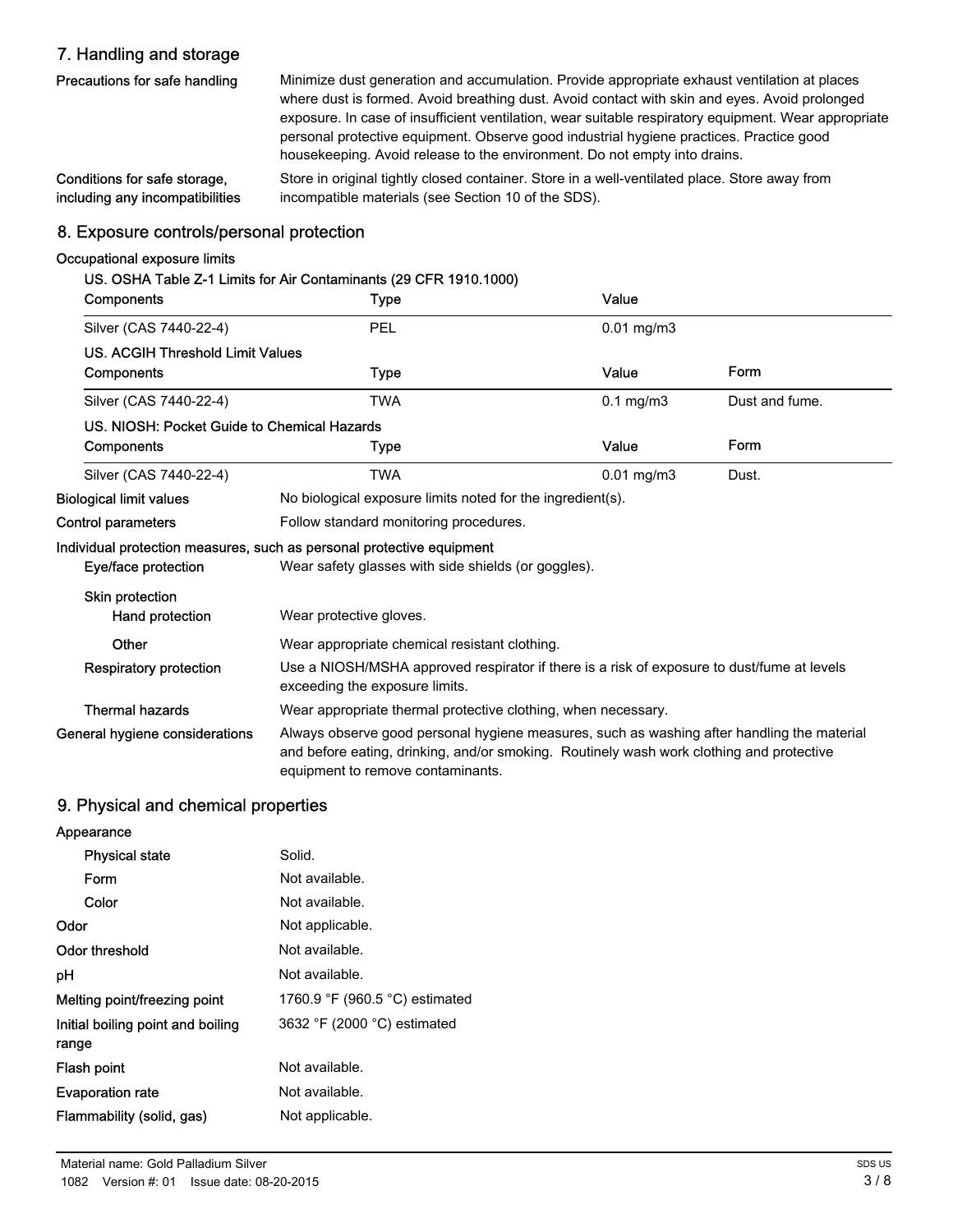# 7. Handling and storage

| Precautions for safe handling   | Minimize dust generation and accumulation. Provide appropriate exhaust ventilation at places<br>where dust is formed. Avoid breathing dust. Avoid contact with skin and eyes. Avoid prolonged<br>exposure. In case of insufficient ventilation, wear suitable respiratory equipment. Wear appropriate<br>personal protective equipment. Observe good industrial hygiene practices. Practice good<br>housekeeping. Avoid release to the environment. Do not empty into drains. |
|---------------------------------|-------------------------------------------------------------------------------------------------------------------------------------------------------------------------------------------------------------------------------------------------------------------------------------------------------------------------------------------------------------------------------------------------------------------------------------------------------------------------------|
| Conditions for safe storage.    | Store in original tightly closed container. Store in a well-ventilated place. Store away from                                                                                                                                                                                                                                                                                                                                                                                 |
| including any incompatibilities | incompatible materials (see Section 10 of the SDS).                                                                                                                                                                                                                                                                                                                                                                                                                           |

## 8. Exposure controls/personal protection

## Occupational exposure limits

|                                             | US. OSHA Table Z-1 Limits for Air Contaminants (29 CFR 1910.1000)                                                                                                                                                           |                                                            |                |  |  |
|---------------------------------------------|-----------------------------------------------------------------------------------------------------------------------------------------------------------------------------------------------------------------------------|------------------------------------------------------------|----------------|--|--|
| Components                                  | <b>Type</b>                                                                                                                                                                                                                 | Value                                                      |                |  |  |
| Silver (CAS 7440-22-4)                      | PEL                                                                                                                                                                                                                         | $0.01$ mg/m $3$                                            |                |  |  |
| <b>US. ACGIH Threshold Limit Values</b>     |                                                                                                                                                                                                                             |                                                            |                |  |  |
| Components                                  | <b>Type</b>                                                                                                                                                                                                                 | Value                                                      | Form           |  |  |
| Silver (CAS 7440-22-4)                      | <b>TWA</b>                                                                                                                                                                                                                  | $0.1$ mg/m $3$                                             | Dust and fume. |  |  |
| US. NIOSH: Pocket Guide to Chemical Hazards |                                                                                                                                                                                                                             |                                                            |                |  |  |
| Components                                  | Type                                                                                                                                                                                                                        | Value                                                      | Form           |  |  |
| Silver (CAS 7440-22-4)                      | <b>TWA</b>                                                                                                                                                                                                                  | $0.01$ mg/m $3$                                            | Dust.          |  |  |
| <b>Biological limit values</b>              |                                                                                                                                                                                                                             | No biological exposure limits noted for the ingredient(s). |                |  |  |
| <b>Control parameters</b>                   | Follow standard monitoring procedures.                                                                                                                                                                                      |                                                            |                |  |  |
|                                             | Individual protection measures, such as personal protective equipment                                                                                                                                                       |                                                            |                |  |  |
| Eye/face protection                         | Wear safety glasses with side shields (or goggles).                                                                                                                                                                         |                                                            |                |  |  |
| Skin protection                             |                                                                                                                                                                                                                             |                                                            |                |  |  |
| Hand protection                             | Wear protective gloves.                                                                                                                                                                                                     |                                                            |                |  |  |
| Other                                       | Wear appropriate chemical resistant clothing.                                                                                                                                                                               |                                                            |                |  |  |
| <b>Respiratory protection</b>               | Use a NIOSH/MSHA approved respirator if there is a risk of exposure to dust/fume at levels<br>exceeding the exposure limits.                                                                                                |                                                            |                |  |  |
| <b>Thermal hazards</b>                      | Wear appropriate thermal protective clothing, when necessary.                                                                                                                                                               |                                                            |                |  |  |
| General hygiene considerations              | Always observe good personal hygiene measures, such as washing after handling the material<br>and before eating, drinking, and/or smoking. Routinely wash work clothing and protective<br>equipment to remove contaminants. |                                                            |                |  |  |

# 9. Physical and chemical properties

| Appearance                                 |                                                  |
|--------------------------------------------|--------------------------------------------------|
| <b>Physical state</b>                      | Solid.                                           |
| Form                                       | Not available.                                   |
| Color                                      | Not available.                                   |
| Odor                                       | Not applicable.                                  |
| Odor threshold                             | Not available.                                   |
| рH                                         | Not available.                                   |
| Melting point/freezing point               | 1760.9 $\degree$ F (960.5 $\degree$ C) estimated |
| Initial boiling point and boiling<br>range | 3632 °F (2000 °C) estimated                      |
| Flash point                                | Not available.                                   |
| <b>Evaporation rate</b>                    | Not available.                                   |
| Flammability (solid, gas)                  | Not applicable.                                  |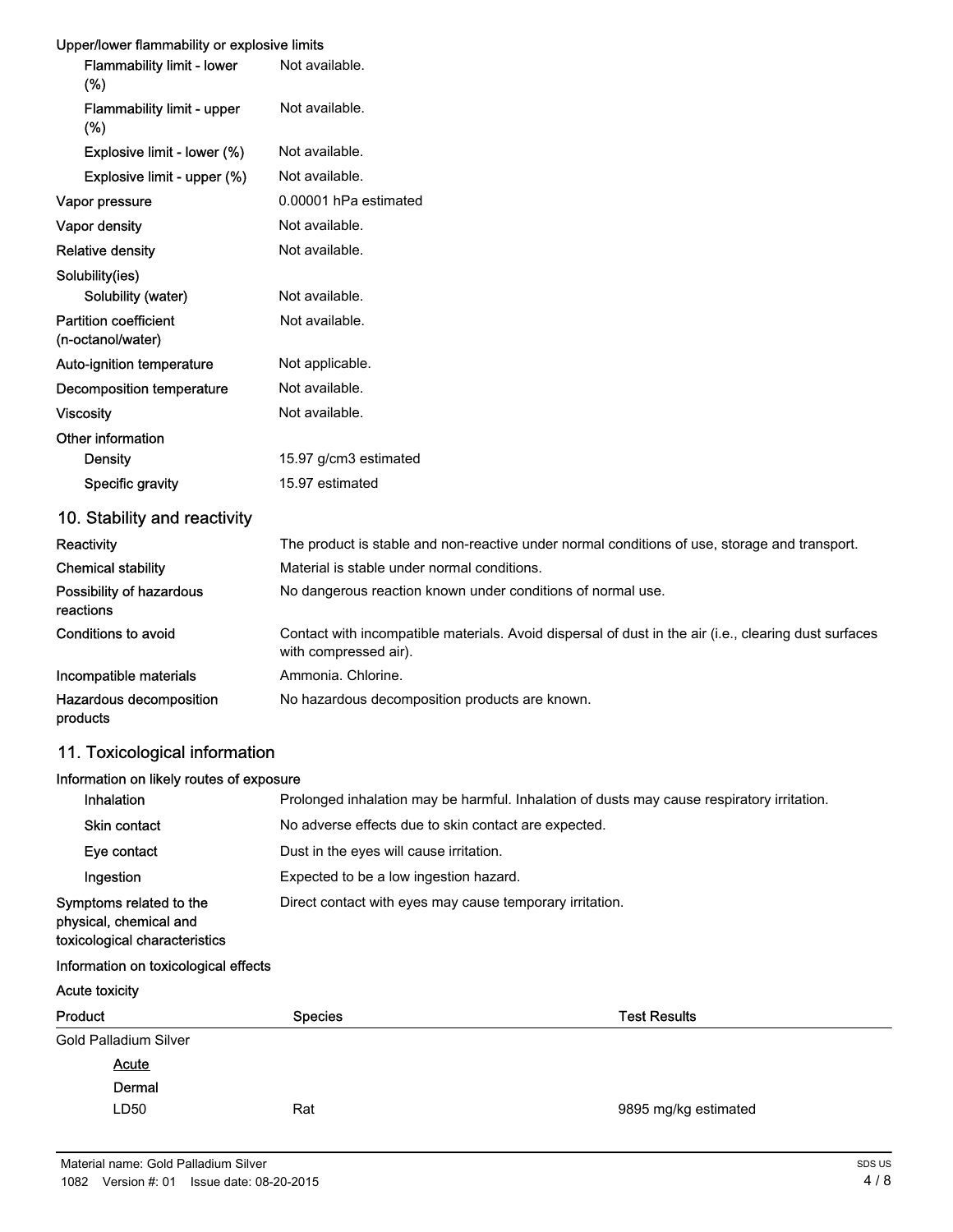#### Upper/lower flammability or explosive limits

| Flammability limit - lower<br>$(\%)$              | Not available.                                                                                                                 |
|---------------------------------------------------|--------------------------------------------------------------------------------------------------------------------------------|
| Flammability limit - upper<br>(%)                 | Not available.                                                                                                                 |
| Explosive limit - lower (%)                       | Not available.                                                                                                                 |
| Explosive limit - upper (%)                       | Not available.                                                                                                                 |
| Vapor pressure                                    | 0.00001 hPa estimated                                                                                                          |
| Vapor density                                     | Not available.                                                                                                                 |
| <b>Relative density</b>                           | Not available.                                                                                                                 |
| Solubility(ies)                                   |                                                                                                                                |
| Solubility (water)                                | Not available.                                                                                                                 |
| <b>Partition coefficient</b><br>(n-octanol/water) | Not available.                                                                                                                 |
| Auto-ignition temperature                         | Not applicable.                                                                                                                |
| Decomposition temperature                         | Not available.                                                                                                                 |
| <b>Viscosity</b>                                  | Not available.                                                                                                                 |
| Other information                                 |                                                                                                                                |
| <b>Density</b>                                    | 15.97 g/cm3 estimated                                                                                                          |
| Specific gravity                                  | 15.97 estimated                                                                                                                |
| 10. Stability and reactivity                      |                                                                                                                                |
| Reactivity                                        | The product is stable and non-reactive under normal conditions of use, storage and transport.                                  |
| <b>Chemical stability</b>                         | Material is stable under normal conditions.                                                                                    |
| Possibility of hazardous<br>reactions             | No dangerous reaction known under conditions of normal use.                                                                    |
| <b>Conditions to avoid</b>                        | Contact with incompatible materials. Avoid dispersal of dust in the air (i.e., clearing dust surfaces<br>with compressed air). |
| Incompatible materials                            | Ammonia. Chlorine.                                                                                                             |
| Hazardous decomposition<br>products               | No hazardous decomposition products are known.                                                                                 |

#### 11. Toxicological information

# Information on likely routes of exposure Inhalation **Prolonged inhalation may be harmful.** Inhalation of dusts may cause respiratory irritation. Skin contact No adverse effects due to skin contact are expected. Eye contact Dust in the eyes will cause irritation. Ingestion Expected to be a low ingestion hazard. Symptoms related to the physical, chemical and toxicological characteristics Direct contact with eyes may cause temporary irritation. Information on toxicological effects Acute toxicity Product **Species** Species **Species** Species **Test Results** Gold Palladium Silver Dermal **Acute** LD50 Rat Rat Research 2009 Rat Research 2009 Rat Research 2012 12:30 RM 2012 Rat Research 2013 Rat Research 20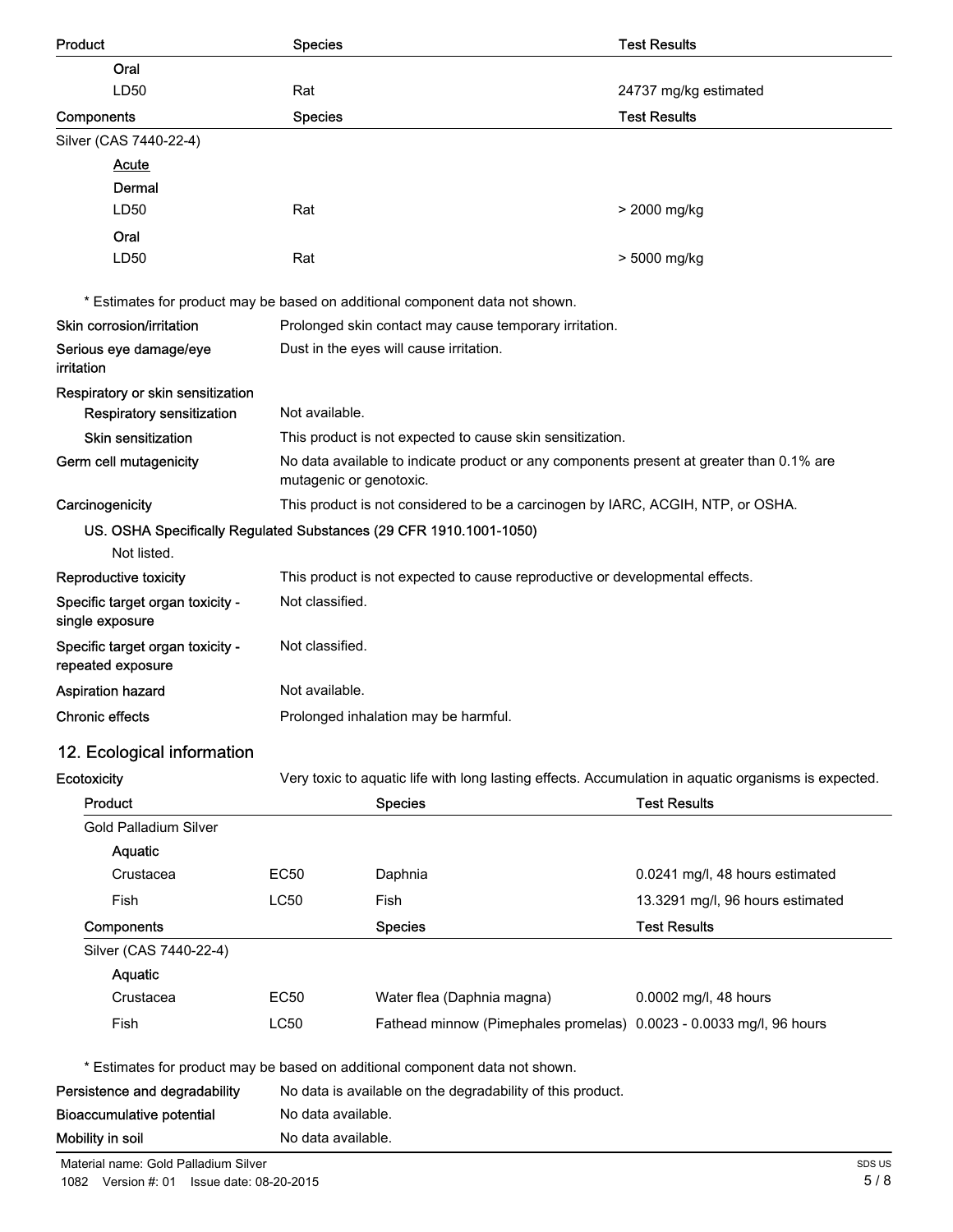| <b>Product</b>                                                     | <b>Species</b>                                                                                       |                                                                                          | <b>Test Results</b>              |
|--------------------------------------------------------------------|------------------------------------------------------------------------------------------------------|------------------------------------------------------------------------------------------|----------------------------------|
| Oral                                                               |                                                                                                      |                                                                                          |                                  |
| LD50                                                               | Rat                                                                                                  |                                                                                          | 24737 mg/kg estimated            |
| Components                                                         | <b>Species</b>                                                                                       |                                                                                          | <b>Test Results</b>              |
| Silver (CAS 7440-22-4)                                             |                                                                                                      |                                                                                          |                                  |
| <b>Acute</b>                                                       |                                                                                                      |                                                                                          |                                  |
| Dermal                                                             |                                                                                                      |                                                                                          |                                  |
| LD50                                                               | Rat                                                                                                  |                                                                                          | > 2000 mg/kg                     |
| Oral                                                               |                                                                                                      |                                                                                          |                                  |
| LD50                                                               | Rat                                                                                                  |                                                                                          | > 5000 mg/kg                     |
|                                                                    |                                                                                                      | * Estimates for product may be based on additional component data not shown.             |                                  |
| Skin corrosion/irritation                                          |                                                                                                      | Prolonged skin contact may cause temporary irritation.                                   |                                  |
| Serious eye damage/eye<br>irritation                               |                                                                                                      | Dust in the eyes will cause irritation.                                                  |                                  |
| Respiratory or skin sensitization                                  |                                                                                                      |                                                                                          |                                  |
| <b>Respiratory sensitization</b>                                   | Not available.                                                                                       |                                                                                          |                                  |
| Skin sensitization                                                 |                                                                                                      | This product is not expected to cause skin sensitization.                                |                                  |
| Germ cell mutagenicity                                             | mutagenic or genotoxic.                                                                              | No data available to indicate product or any components present at greater than 0.1% are |                                  |
| Carcinogenicity                                                    |                                                                                                      | This product is not considered to be a carcinogen by IARC, ACGIH, NTP, or OSHA.          |                                  |
| US. OSHA Specifically Regulated Substances (29 CFR 1910.1001-1050) |                                                                                                      |                                                                                          |                                  |
| Not listed.                                                        |                                                                                                      |                                                                                          |                                  |
| Reproductive toxicity                                              |                                                                                                      | This product is not expected to cause reproductive or developmental effects.             |                                  |
| Specific target organ toxicity -<br>single exposure                | Not classified.                                                                                      |                                                                                          |                                  |
| Specific target organ toxicity -<br>repeated exposure              | Not classified.                                                                                      |                                                                                          |                                  |
| <b>Aspiration hazard</b>                                           | Not available.                                                                                       |                                                                                          |                                  |
| <b>Chronic effects</b>                                             | Prolonged inhalation may be harmful.                                                                 |                                                                                          |                                  |
| 12. Ecological information                                         |                                                                                                      |                                                                                          |                                  |
| Ecotoxicity                                                        | Very toxic to aquatic life with long lasting effects. Accumulation in aquatic organisms is expected. |                                                                                          |                                  |
| Product                                                            |                                                                                                      | <b>Species</b>                                                                           | <b>Test Results</b>              |
| <b>Gold Palladium Silver</b>                                       |                                                                                                      |                                                                                          |                                  |
| Aquatic                                                            |                                                                                                      |                                                                                          |                                  |
| Crustacea                                                          | EC50                                                                                                 | Daphnia                                                                                  | 0.0241 mg/l, 48 hours estimated  |
| Fish                                                               | <b>LC50</b>                                                                                          | Fish                                                                                     | 13.3291 mg/l, 96 hours estimated |
| Components                                                         |                                                                                                      | <b>Species</b>                                                                           | <b>Test Results</b>              |
| Silver (CAS 7440-22-4)                                             |                                                                                                      |                                                                                          |                                  |
| <b>Aquatic</b>                                                     |                                                                                                      |                                                                                          |                                  |
| Crustacea                                                          | EC50                                                                                                 | Water flea (Daphnia magna)                                                               | 0.0002 mg/l, 48 hours            |
| Fish                                                               | <b>LC50</b>                                                                                          | Fathead minnow (Pimephales promelas) 0.0023 - 0.0033 mg/l, 96 hours                      |                                  |
|                                                                    |                                                                                                      | * Estimates for product may be based on additional component data not shown.             |                                  |
| Persistence and degradability                                      |                                                                                                      | No data is available on the degradability of this product.                               |                                  |
| <b>Bioaccumulative potential</b>                                   | No data available.                                                                                   |                                                                                          |                                  |
| Mobility in soil                                                   | No data available.                                                                                   |                                                                                          |                                  |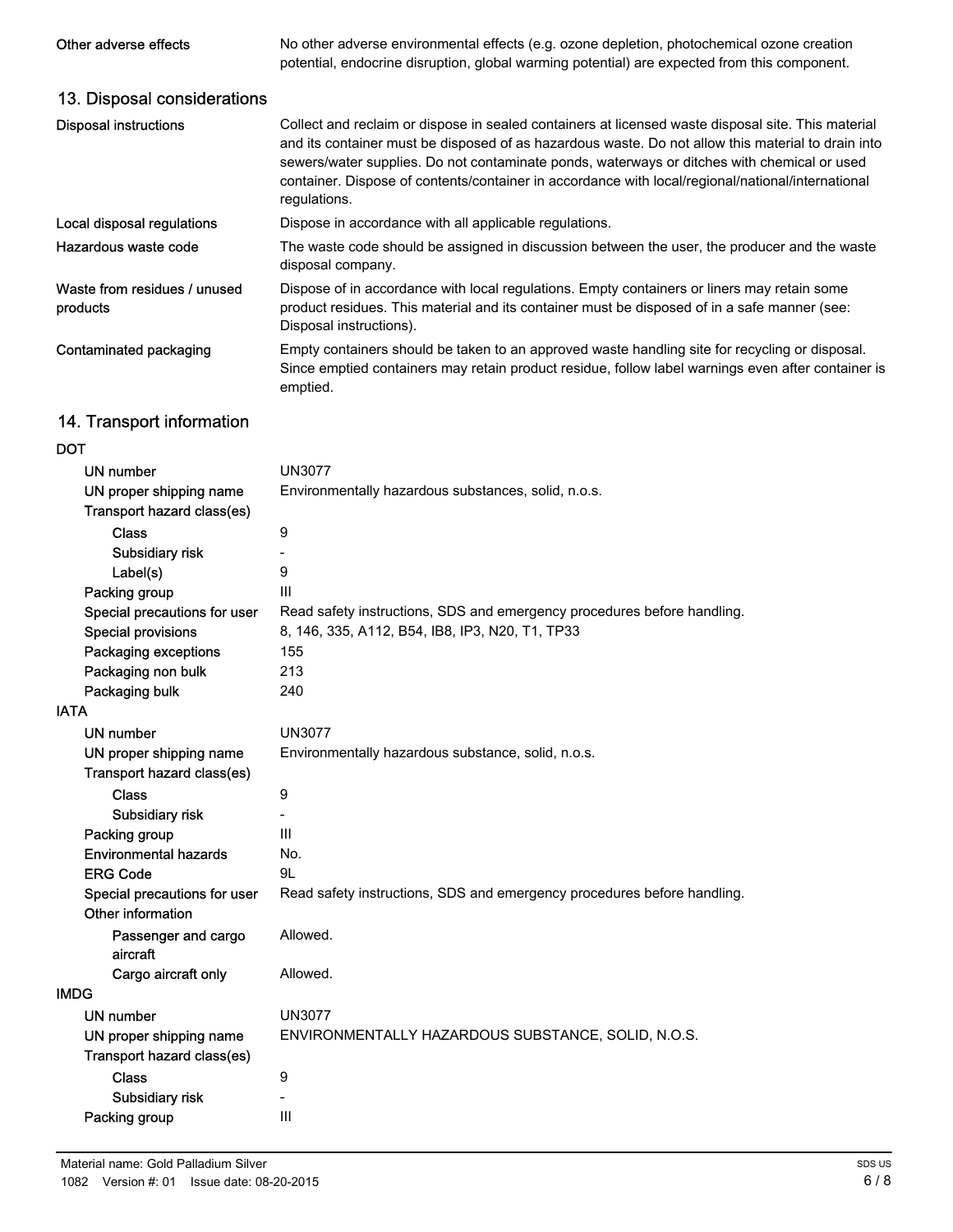Other adverse effects No other adverse environmental effects (e.g. ozone depletion, photochemical ozone creation potential, endocrine disruption, global warming potential) are expected from this component.

# 13. Disposal considerations

| <b>Disposal instructions</b>                          | Collect and reclaim or dispose in sealed containers at licensed waste disposal site. This material<br>and its container must be disposed of as hazardous waste. Do not allow this material to drain into<br>sewers/water supplies. Do not contaminate ponds, waterways or ditches with chemical or used<br>container. Dispose of contents/container in accordance with local/regional/national/international<br>regulations. |
|-------------------------------------------------------|------------------------------------------------------------------------------------------------------------------------------------------------------------------------------------------------------------------------------------------------------------------------------------------------------------------------------------------------------------------------------------------------------------------------------|
| Local disposal regulations                            | Dispose in accordance with all applicable regulations.                                                                                                                                                                                                                                                                                                                                                                       |
| Hazardous waste code                                  | The waste code should be assigned in discussion between the user, the producer and the waste<br>disposal company.                                                                                                                                                                                                                                                                                                            |
| Waste from residues / unused<br>products              | Dispose of in accordance with local regulations. Empty containers or liners may retain some<br>product residues. This material and its container must be disposed of in a safe manner (see:<br>Disposal instructions).                                                                                                                                                                                                       |
| Contaminated packaging                                | Empty containers should be taken to an approved waste handling site for recycling or disposal.<br>Since emptied containers may retain product residue, follow label warnings even after container is<br>emptied.                                                                                                                                                                                                             |
| 14. Transport information                             |                                                                                                                                                                                                                                                                                                                                                                                                                              |
| <b>DOT</b>                                            |                                                                                                                                                                                                                                                                                                                                                                                                                              |
| UN number                                             | <b>UN3077</b>                                                                                                                                                                                                                                                                                                                                                                                                                |
| UN proper shipping name<br>Transport hazard class(es) | Environmentally hazardous substances, solid, n.o.s.                                                                                                                                                                                                                                                                                                                                                                          |

| Transport hazard class(es)      |                                                                         |
|---------------------------------|-------------------------------------------------------------------------|
| <b>Class</b>                    | 9                                                                       |
| Subsidiary risk                 |                                                                         |
| Label(s)                        | 9                                                                       |
| Packing group                   | Ш                                                                       |
| Special precautions for user    | Read safety instructions, SDS and emergency procedures before handling. |
| <b>Special provisions</b>       | 8, 146, 335, A112, B54, IB8, IP3, N20, T1, TP33                         |
| Packaging exceptions            | 155                                                                     |
| Packaging non bulk              | 213                                                                     |
| Packaging bulk                  | 240                                                                     |
| <b>IATA</b>                     |                                                                         |
| UN number                       | <b>UN3077</b>                                                           |
| UN proper shipping name         | Environmentally hazardous substance, solid, n.o.s.                      |
| Transport hazard class(es)      |                                                                         |
| <b>Class</b>                    | 9                                                                       |
| Subsidiary risk                 |                                                                         |
| Packing group                   | Ш                                                                       |
| <b>Environmental hazards</b>    | No.                                                                     |
| <b>ERG Code</b>                 | 9L                                                                      |
| Special precautions for user    | Read safety instructions, SDS and emergency procedures before handling. |
| Other information               |                                                                         |
| Passenger and cargo<br>aircraft | Allowed.                                                                |
| Cargo aircraft only             | Allowed.                                                                |
| <b>IMDG</b>                     |                                                                         |
| <b>UN number</b>                | <b>UN3077</b>                                                           |
| UN proper shipping name         | ENVIRONMENTALLY HAZARDOUS SUBSTANCE, SOLID, N.O.S.                      |
| Transport hazard class(es)      |                                                                         |
| <b>Class</b>                    | 9                                                                       |
| Subsidiary risk                 |                                                                         |
| Packing group                   | Ш                                                                       |
|                                 |                                                                         |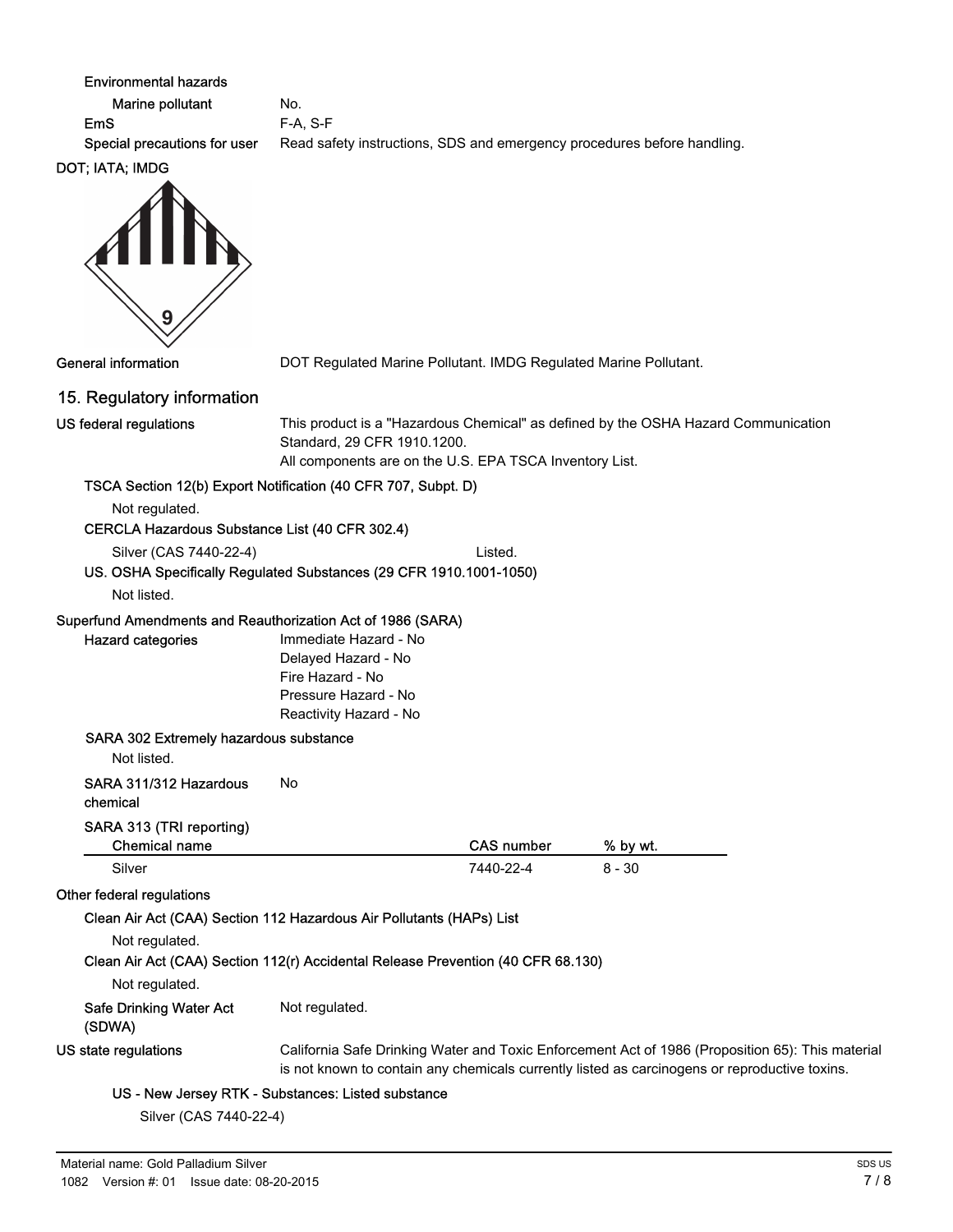| <b>Environmental hazards</b><br>Marine pollutant<br><b>EmS</b><br>Special precautions for user | No.<br>F-A, S-F<br>Read safety instructions, SDS and emergency procedures before handling.                         |                   |                                                                                                                                                                                                   |
|------------------------------------------------------------------------------------------------|--------------------------------------------------------------------------------------------------------------------|-------------------|---------------------------------------------------------------------------------------------------------------------------------------------------------------------------------------------------|
| DOT; IATA; IMDG<br>9                                                                           |                                                                                                                    |                   |                                                                                                                                                                                                   |
| <b>General information</b>                                                                     | DOT Regulated Marine Pollutant. IMDG Regulated Marine Pollutant.                                                   |                   |                                                                                                                                                                                                   |
| 15. Regulatory information                                                                     |                                                                                                                    |                   |                                                                                                                                                                                                   |
| US federal regulations                                                                         | Standard, 29 CFR 1910.1200.<br>All components are on the U.S. EPA TSCA Inventory List.                             |                   | This product is a "Hazardous Chemical" as defined by the OSHA Hazard Communication                                                                                                                |
|                                                                                                | TSCA Section 12(b) Export Notification (40 CFR 707, Subpt. D)                                                      |                   |                                                                                                                                                                                                   |
| Not regulated.<br>CERCLA Hazardous Substance List (40 CFR 302.4)                               |                                                                                                                    |                   |                                                                                                                                                                                                   |
| Silver (CAS 7440-22-4)<br>Not listed.                                                          | US. OSHA Specifically Regulated Substances (29 CFR 1910.1001-1050)                                                 | Listed.           |                                                                                                                                                                                                   |
| Superfund Amendments and Reauthorization Act of 1986 (SARA)                                    |                                                                                                                    |                   |                                                                                                                                                                                                   |
| <b>Hazard categories</b>                                                                       | Immediate Hazard - No<br>Delayed Hazard - No<br>Fire Hazard - No<br>Pressure Hazard - No<br>Reactivity Hazard - No |                   |                                                                                                                                                                                                   |
| SARA 302 Extremely hazardous substance<br>Not listed.                                          |                                                                                                                    |                   |                                                                                                                                                                                                   |
| SARA 311/312 Hazardous<br>chemical                                                             | No                                                                                                                 |                   |                                                                                                                                                                                                   |
| SARA 313 (TRI reporting)                                                                       |                                                                                                                    |                   |                                                                                                                                                                                                   |
| <b>Chemical name</b>                                                                           |                                                                                                                    | <b>CAS number</b> | % by wt.                                                                                                                                                                                          |
| Silver                                                                                         |                                                                                                                    | 7440-22-4         | $8 - 30$                                                                                                                                                                                          |
| Other federal regulations                                                                      | Clean Air Act (CAA) Section 112 Hazardous Air Pollutants (HAPs) List                                               |                   |                                                                                                                                                                                                   |
| Not regulated.                                                                                 |                                                                                                                    |                   |                                                                                                                                                                                                   |
|                                                                                                | Clean Air Act (CAA) Section 112(r) Accidental Release Prevention (40 CFR 68.130)                                   |                   |                                                                                                                                                                                                   |
| Not regulated.                                                                                 |                                                                                                                    |                   |                                                                                                                                                                                                   |
| <b>Safe Drinking Water Act</b><br>(SDWA)                                                       | Not regulated.                                                                                                     |                   |                                                                                                                                                                                                   |
| US state regulations                                                                           |                                                                                                                    |                   | California Safe Drinking Water and Toxic Enforcement Act of 1986 (Proposition 65): This material<br>is not known to contain any chemicals currently listed as carcinogens or reproductive toxins. |

US - New Jersey RTK - Substances: Listed substance

Silver (CAS 7440-22-4)